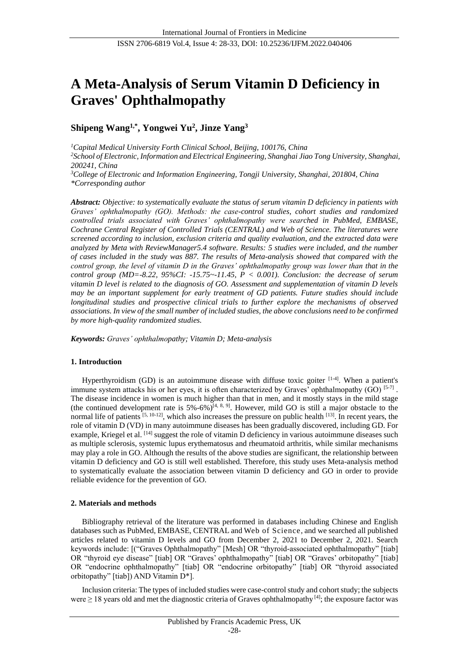# **A Meta-Analysis of Serum Vitamin D Deficiency in Graves' Ophthalmopathy**

# **Shipeng Wang1,\* , Yongwei Yu 2 , Jinze Yang<sup>3</sup>**

*<sup>1</sup>Capital Medical University Forth Clinical School, Beijing, 100176, China <sup>2</sup>School of Electronic, Information and Electrical Engineering, Shanghai Jiao Tong University, Shanghai, 200241, China <sup>3</sup>College of Electronic and Information Engineering, Tongji University, Shanghai, 201804, China \*Corresponding author*

*Abstract: Objective: to systematically evaluate the status of serum vitamin D deficiency in patients with Graves' ophthalmopathy (GO). Methods: the case-control studies, cohort studies and randomized controlled trials associated with Graves' ophthalmopathy were searched in PubMed, EMBASE, Cochrane Central Register of Controlled Trials (CENTRAL) and Web of Science. The literatures were screened according to inclusion, exclusion criteria and quality evaluation, and the extracted data were analyzed by Meta with ReviewManager5.4 software. Results: 5 studies were included, and the number of cases included in the study was 887. The results of Meta-analysis showed that compared with the control group, the level of vitamin D in the Graves' ophthalmopathy group was lower than that in the control group (MD=-8.22, 95%CI: -15.75~-11.45, P < 0.001). Conclusion: the decrease of serum vitamin D level is related to the diagnosis of GO. Assessment and supplementation of vitamin D levels may be an important supplement for early treatment of GD patients. Future studies should include longitudinal studies and prospective clinical trials to further explore the mechanisms of observed associations. In view of the small number of included studies, the above conclusions need to be confirmed by more high-quality randomized studies.*

*Keywords: Graves' ophthalmopathy; Vitamin D; Meta-analysis*

#### **1. Introduction**

Hyperthyroidism (GD) is an autoimmune disease with diffuse toxic goiter  $[1-4]$ . When a patient's immune system attacks his or her eyes, it is often characterized by Graves' ophthalmopathy (GO)  $[5\cdot 7]$ . The disease incidence in women is much higher than that in men, and it mostly stays in the mild stage (the continued development rate is  $5\% -6\%$ )<sup>[4, 8, 9]</sup>. However, mild GO is still a major obstacle to the normal life of patients  $[5, 10-12]$ , which also increases the pressure on public health  $[13]$ . In recent years, the role of vitamin D (VD) in many autoimmune diseases has been gradually discovered, including GD. For example, Kriegel et al. [14] suggest the role of vitamin D deficiency in various autoimmune diseases such as multiple sclerosis, systemic lupus erythematosus and rheumatoid arthritis, while similar mechanisms may play a role in GO. Although the results of the above studies are significant, the relationship between vitamin D deficiency and GO is still well established. Therefore, this study uses Meta-analysis method to systematically evaluate the association between vitamin D deficiency and GO in order to provide reliable evidence for the prevention of GO.

#### **2. Materials and methods**

Bibliography retrieval of the literature was performed in databases including Chinese and English databases such as PubMed, EMBASE, CENTRAL and Web of Science, and we searched all published articles related to vitamin D levels and GO from December 2, 2021 to December 2, 2021. Search keywords include: [("Graves Ophthalmopathy" [Mesh] OR "thyroid-associated ophthalmopathy" [tiab] OR "thyroid eye disease" [tiab] OR "Graves' ophthalmopathy" [tiab] OR "Graves' orbitopathy" [tiab] OR "endocrine ophthalmopathy" [tiab] OR "endocrine orbitopathy" [tiab] OR "thyroid associated orbitopathy" [tiab]) AND Vitamin D\*].

Inclusion criteria: The types of included studies were case-control study and cohort study; the subjects were ≥ 18 years old and met the diagnostic criteria of Graves ophthalmopathy [4]; the exposure factor was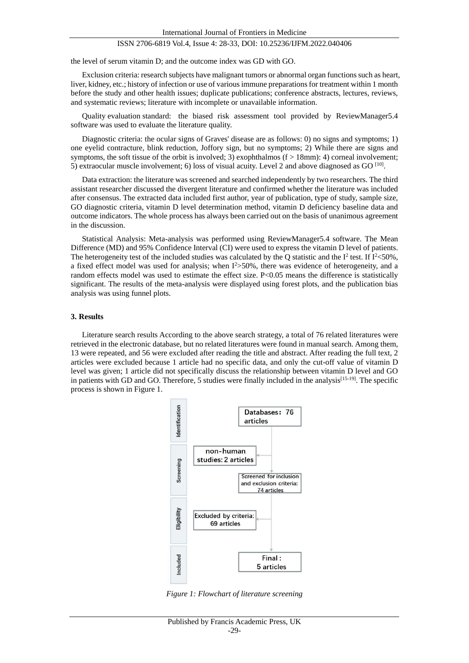the level of serum vitamin D; and the outcome index was GD with GO.

Exclusion criteria: research subjects have malignant tumors or abnormal organ functions such as heart, liver, kidney, etc.; history of infection or use of various immune preparations for treatment within 1 month before the study and other health issues; duplicate publications; conference abstracts, lectures, reviews, and systematic reviews; literature with incomplete or unavailable information.

Quality evaluation standard: the biased risk assessment tool provided by ReviewManager5.4 software was used to evaluate the literature quality.

Diagnostic criteria: the ocular signs of Graves' disease are as follows: 0) no signs and symptoms; 1) one eyelid contracture, blink reduction, Joffory sign, but no symptoms; 2) While there are signs and symptoms, the soft tissue of the orbit is involved; 3) exophthalmos  $(f > 18$ mm): 4) corneal involvement; 5) extraocular muscle involvement; 6) loss of visual acuity. Level 2 and above diagnosed as GO  $^{[10]}$ .

Data extraction: the literature was screened and searched independently by two researchers. The third assistant researcher discussed the divergent literature and confirmed whether the literature was included after consensus. The extracted data included first author, year of publication, type of study, sample size, GO diagnostic criteria, vitamin D level determination method, vitamin D deficiency baseline data and outcome indicators. The whole process has always been carried out on the basis of unanimous agreement in the discussion.

Statistical Analysis: Meta-analysis was performed using ReviewManager5.4 software. The Mean Difference (MD) and 95% Confidence Interval (CI) were used to express the vitamin D level of patients. The heterogeneity test of the included studies was calculated by the Q statistic and the  $I^2$  test. If  $I^2$ <50%, a fixed effect model was used for analysis; when  $I^2 > 50\%$ , there was evidence of heterogeneity, and a random effects model was used to estimate the effect size. P<0.05 means the difference is statistically significant. The results of the meta-analysis were displayed using forest plots, and the publication bias analysis was using funnel plots.

#### **3. Results**

Literature search results According to the above search strategy, a total of 76 related literatures were retrieved in the electronic database, but no related literatures were found in manual search. Among them, 13 were repeated, and 56 were excluded after reading the title and abstract. After reading the full text, 2 articles were excluded because 1 article had no specific data, and only the cut-off value of vitamin D level was given; 1 article did not specifically discuss the relationship between vitamin D level and GO in patients with GD and GO. Therefore, 5 studies were finally included in the analysis<sup>[15-19]</sup>. The specific process is shown in Figure 1.



*Figure 1: Flowchart of literature screening*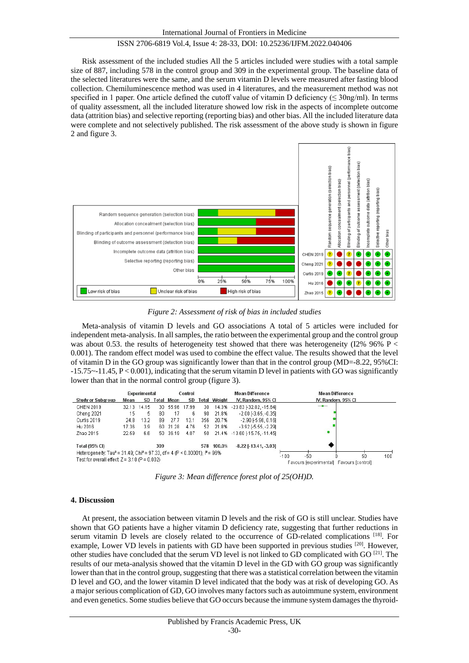Risk assessment of the included studies All the 5 articles included were studies with a total sample size of 887, including 578 in the control group and 309 in the experimental group. The baseline data of the selected literatures were the same, and the serum vitamin D levels were measured after fasting blood collection. Chemiluminescence method was used in 4 literatures, and the measurement method was not specified in 1 paper. One article defined the cutoff value of vitamin D deficiency ( $\leq$  30ng/ml). In terms of quality assessment, all the included literature showed low risk in the aspects of incomplete outcome data (attrition bias) and selective reporting (reporting bias) and other bias. All the included literature data were complete and not selectively published. The risk assessment of the above study is shown in figure 2 and figure 3.



*Figure 2: Assessment of risk of bias in included studies*

Meta-analysis of vitamin D levels and GO associations A total of 5 articles were included for independent meta-analysis. In all samples, the ratio between the experimental group and the control group was about 0.53. the results of heterogeneity test showed that there was heterogeneity (I2% 96% P  $<$ 0.001). The random effect model was used to combine the effect value. The results showed that the level of vitamin D in the GO group was significantly lower than that in the control group (MD=-8.22, 95%CI:  $-15.75 - 11.45$ ,  $P < 0.001$ ), indicating that the serum vitamin D level in patients with GO was significantly lower than that in the normal control group (figure 3).



*Figure 3: Mean difference forest plot of 25(OH)D.*

#### **4. Discussion**

At present, the association between vitamin D levels and the risk of GO is still unclear. Studies have shown that GO patients have a higher vitamin D deficiency rate, suggesting that further reductions in serum vitamin D levels are closely related to the occurrence of GD-related complications [18]. For example, Lower VD levels in patients with GD have been supported in previous studies [20]. However, other studies have concluded that the serum VD level is not linked to GD complicated with GO  $^{[21]}$ . The results of our meta-analysis showed that the vitamin D level in the GD with GO group was significantly lower than that in the control group, suggesting that there was a statistical correlation between the vitamin D level and GO, and the lower vitamin D level indicated that the body was at risk of developing GO. As a major serious complication of GD, GO involves many factors such as autoimmune system, environment and even genetics. Some studies believe that GO occurs because the immune system damages the thyroid-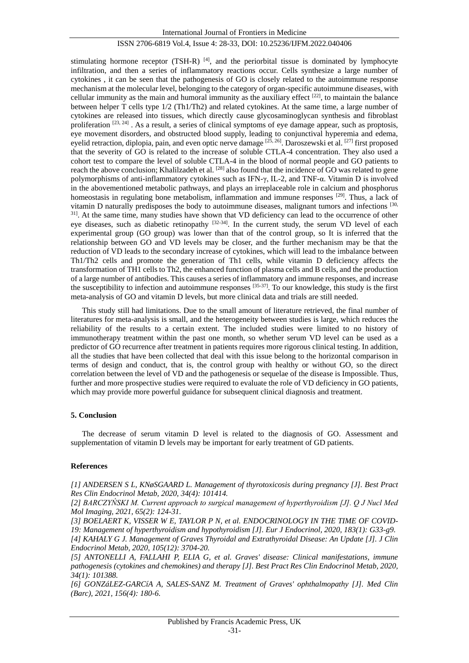stimulating hormone receptor (TSH-R)  $[4]$ , and the periorbital tissue is dominated by lymphocyte infiltration, and then a series of inflammatory reactions occur. Cells synthesize a large number of cytokines , it can be seen that the pathogenesis of GO is closely related to the autoimmune response mechanism at the molecular level, belonging to the category of organ-specific autoimmune diseases, with cellular immunity as the main and humoral immunity as the auxiliary effect [22], to maintain the balance between helper T cells type 1/2 (Th1/Th2) and related cytokines. At the same time, a large number of cytokines are released into tissues, which directly cause glycosaminoglycan synthesis and fibroblast proliferation [23, 24]. As a result, a series of clinical symptoms of eye damage appear, such as proptosis, eye movement disorders, and obstructed blood supply, leading to conjunctival hyperemia and edema, eyelid retraction, diplopia, pain, and even optic nerve damage  $^{[25, 26]}$ . Daroszewski et al.  $^{[27]}$  first proposed that the severity of GO is related to the increase of soluble CTLA-4 concentration. They also used a cohort test to compare the level of soluble CTLA-4 in the blood of normal people and GO patients to reach the above conclusion; Khalilzadeh et al. [28] also found that the incidence of GO was related to gene polymorphisms of anti-inflammatory cytokines such as IFN-γ, IL-2, and TNF-α. Vitamin D is involved in the abovementioned metabolic pathways, and plays an irreplaceable role in calcium and phosphorus homeostasis in regulating bone metabolism, inflammation and immune responses [29]. Thus, a lack of vitamin D naturally predisposes the body to autoimmune diseases, malignant tumors and infections [30, <sup>31]</sup>. At the same time, many studies have shown that VD deficiency can lead to the occurrence of other eye diseases, such as diabetic retinopathy <sup>[32-34]</sup>. In the current study, the serum VD level of each experimental group (GO group) was lower than that of the control group, so It is inferred that the relationship between GO and VD levels may be closer, and the further mechanism may be that the reduction of VD leads to the secondary increase of cytokines, which will lead to the imbalance between Th1/Th2 cells and promote the generation of Th1 cells, while vitamin D deficiency affects the transformation of TH1 cells to Th2, the enhanced function of plasma cells and B cells, and the production of a large number of antibodies. This causes a series of inflammatory and immune responses, and increase the susceptibility to infection and autoimmune responses  $[35-37]$ . To our knowledge, this study is the first meta-analysis of GO and vitamin D levels, but more clinical data and trials are still needed.

This study still had limitations. Due to the small amount of literature retrieved, the final number of literatures for meta-analysis is small, and the heterogeneity between studies is large, which reduces the reliability of the results to a certain extent. The included studies were limited to no history of immunotherapy treatment within the past one month, so whether serum VD level can be used as a predictor of GO recurrence after treatment in patients requires more rigorous clinical testing. In addition, all the studies that have been collected that deal with this issue belong to the horizontal comparison in terms of design and conduct, that is, the control group with healthy or without GO, so the direct correlation between the level of VD and the pathogenesis or sequelae of the disease is Impossible. Thus, further and more prospective studies were required to evaluate the role of VD deficiency in GO patients, which may provide more powerful guidance for subsequent clinical diagnosis and treatment.

#### **5. Conclusion**

The decrease of serum vitamin D level is related to the diagnosis of GO. Assessment and supplementation of vitamin D levels may be important for early treatment of GD patients.

#### **References**

*[1] ANDERSEN S L, KNøSGAARD L. Management of thyrotoxicosis during pregnancy [J]. Best Pract Res Clin Endocrinol Metab, 2020, 34(4): 101414.*

*[2] BARCZYŃSKI M. Current approach to surgical management of hyperthyroidism [J]. Q J Nucl Med Mol Imaging, 2021, 65(2): 124-31.*

[3] BOELAERT K, VISSER W E, TAYLOR P N, et al. ENDOCRINOLOGY IN THE TIME OF COVID-*19: Management of hyperthyroidism and hypothyroidism [J]. Eur J Endocrinol, 2020, 183(1): G33-g9.*

*[4] KAHALY G J. Management of Graves Thyroidal and Extrathyroidal Disease: An Update [J]. J Clin Endocrinol Metab, 2020, 105(12): 3704-20.*

*[5] ANTONELLI A, FALLAHI P, ELIA G, et al. Graves' disease: Clinical manifestations, immune pathogenesis (cytokines and chemokines) and therapy [J]. Best Pract Res Clin Endocrinol Metab, 2020, 34(1): 101388.*

[6] GONZáLEZ-GARC A A, SALES-SANZ M. Treatment of Graves' ophthalmopathy [J]. Med Clin *(Barc), 2021, 156(4): 180-6.*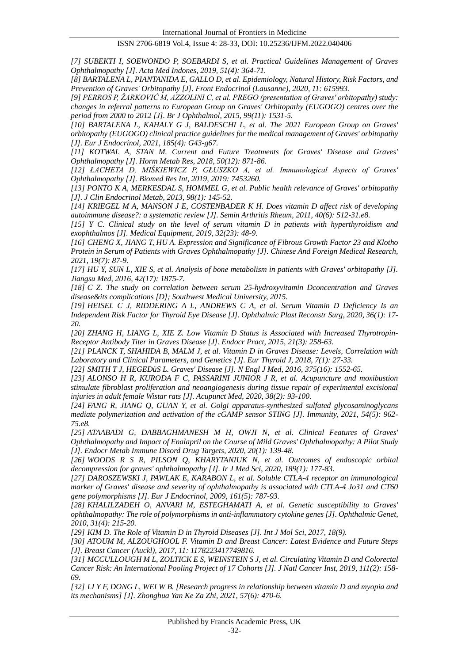*[7] SUBEKTI I, SOEWONDO P, SOEBARDI S, et al. Practical Guidelines Management of Graves Ophthalmopathy [J]. Acta Med Indones, 2019, 51(4): 364-71.*

*[8] BARTALENA L, PIANTANIDA E, GALLO D, et al. Epidemiology, Natural History, Risk Factors, and Prevention of Graves' Orbitopathy [J]. Front Endocrinol (Lausanne), 2020, 11: 615993.*

*[9] PERROS P, ŽARKOVIĆ M, AZZOLINI C, et al. PREGO (presentation of Graves' orbitopathy) study: changes in referral patterns to European Group on Graves' Orbitopathy (EUGOGO) centres over the period from 2000 to 2012 [J]. Br J Ophthalmol, 2015, 99(11): 1531-5.*

*[10] BARTALENA L, KAHALY G J, BALDESCHI L, et al. The 2021 European Group on Graves' orbitopathy (EUGOGO) clinical practice guidelines for the medical management of Graves' orbitopathy [J]. Eur J Endocrinol, 2021, 185(4): G43-g67.*

*[11] KOTWAL A, STAN M. Current and Future Treatments for Graves' Disease and Graves' Ophthalmopathy [J]. Horm Metab Res, 2018, 50(12): 871-86.*

*[12] ŁACHETA D, MIŚKIEWICZ P, GŁUSZKO A, et al. Immunological Aspects of Graves' Ophthalmopathy [J]. Biomed Res Int, 2019, 2019: 7453260.*

*[13] PONTO K A, MERKESDAL S, HOMMEL G, et al. Public health relevance of Graves' orbitopathy [J]. J Clin Endocrinol Metab, 2013, 98(1): 145-52.*

*[14] KRIEGEL M A, MANSON J E, COSTENBADER K H. Does vitamin D affect risk of developing autoimmune disease?: a systematic review [J]. Semin Arthritis Rheum, 2011, 40(6): 512-31.e8.*

*[15] Y C. Clinical study on the level of serum vitamin D in patients with hyperthyroidism and exophthalmos [J]. Medical Equipment, 2019, 32(23): 48-9.*

*[16] CHENG X, JIANG T, HU A. Expression and Significance of Fibrous Growth Factor 23 and Klotho Protein in Serum of Patients with Graves Ophthalmopathy [J]. Chinese And Foreign Medical Research, 2021, 19(7): 87-9.*

*[17] HU Y, SUN L, XIE S, et al. Analysis of bone metabolism in patients with Graves' orbitopathy [J]. Jiangsu Med, 2016, 42(17): 1875-7.*

*[18] C Z. The study on correlation between serum 25-hydroxyvitamin Dconcentration and Graves disease&its complications [D]; Southwest Medical University, 2015.*

*[19] HEISEL C J, RIDDERING A L, ANDREWS C A, et al. Serum Vitamin D Deficiency Is an Independent Risk Factor for Thyroid Eye Disease [J]. Ophthalmic Plast Reconstr Surg, 2020, 36(1): 17- 20.*

*[20] ZHANG H, LIANG L, XIE Z. Low Vitamin D Status is Associated with Increased Thyrotropin-Receptor Antibody Titer in Graves Disease [J]. Endocr Pract, 2015, 21(3): 258-63.*

*[21] PLANCK T, SHAHIDA B, MALM J, et al. Vitamin D in Graves Disease: Levels, Correlation with Laboratory and Clinical Parameters, and Genetics [J]. Eur Thyroid J, 2018, 7(1): 27-33.*

*[22] SMITH T J, HEGEDüS L. Graves' Disease [J]. N Engl J Med, 2016, 375(16): 1552-65.*

*[23] ALONSO H R, KURODA F C, PASSARINI JUNIOR J R, et al. Acupuncture and moxibustion stimulate fibroblast proliferation and neoangiogenesis during tissue repair of experimental excisional injuries in adult female Wistar rats [J]. Acupunct Med, 2020, 38(2): 93-100.*

*[24] FANG R, JIANG Q, GUAN Y, et al. Golgi apparatus-synthesized sulfated glycosaminoglycans mediate polymerization and activation of the cGAMP sensor STING [J]. Immunity, 2021, 54(5): 962- 75.e8.*

*[25] ATAABADI G, DABBAGHMANESH M H, OWJI N, et al. Clinical Features of Graves' Ophthalmopathy and Impact of Enalapril on the Course of Mild Graves' Ophthalmopathy: A Pilot Study [J]. Endocr Metab Immune Disord Drug Targets, 2020, 20(1): 139-48.*

*[26] WOODS R S R, PILSON Q, KHARYTANIUK N, et al. Outcomes of endoscopic orbital decompression for graves' ophthalmopathy [J]. Ir J Med Sci, 2020, 189(1): 177-83.*

*[27] DAROSZEWSKI J, PAWLAK E, KARABON L, et al. Soluble CTLA-4 receptor an immunological marker of Graves' disease and severity of ophthalmopathy is associated with CTLA-4 Jo31 and CT60 gene polymorphisms [J]. Eur J Endocrinol, 2009, 161(5): 787-93.*

*[28] KHALILZADEH O, ANVARI M, ESTEGHAMATI A, et al. Genetic susceptibility to Graves' ophthalmopathy: The role of polymorphisms in anti-inflammatory cytokine genes [J]. Ophthalmic Genet, 2010, 31(4): 215-20.*

*[29] KIM D. The Role of Vitamin D in Thyroid Diseases [J]. Int J Mol Sci, 2017, 18(9).*

*[30] ATOUM M, ALZOUGHOOL F. Vitamin D and Breast Cancer: Latest Evidence and Future Steps [J]. Breast Cancer (Auckl), 2017, 11: 1178223417749816.*

*[31] MCCULLOUGH M L, ZOLTICK E S, WEINSTEIN S J, et al. Circulating Vitamin D and Colorectal Cancer Risk: An International Pooling Project of 17 Cohorts [J]. J Natl Cancer Inst, 2019, 111(2): 158- 69.*

*[32] LI Y F, DONG L, WEI W B. [Research progress in relationship between vitamin D and myopia and its mechanisms] [J]. Zhonghua Yan Ke Za Zhi, 2021, 57(6): 470-6.*